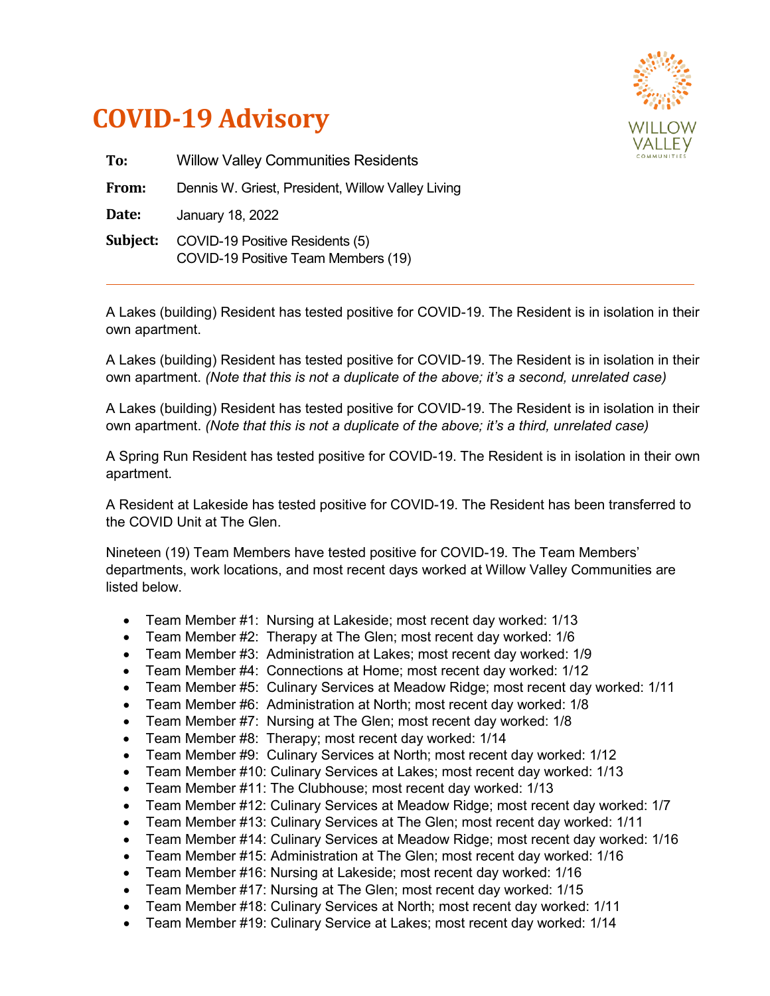



| To:      | <b>Willow Valley Communities Residents</b>                             |
|----------|------------------------------------------------------------------------|
| From:    | Dennis W. Griest, President, Willow Valley Living                      |
| Date:    | January 18, 2022                                                       |
| Subject: | COVID-19 Positive Residents (5)<br>COVID-19 Positive Team Members (19) |

A Lakes (building) Resident has tested positive for COVID-19. The Resident is in isolation in their own apartment.

A Lakes (building) Resident has tested positive for COVID-19. The Resident is in isolation in their own apartment. *(Note that this is not a duplicate of the above; it's a second, unrelated case)*

A Lakes (building) Resident has tested positive for COVID-19. The Resident is in isolation in their own apartment. *(Note that this is not a duplicate of the above; it's a third, unrelated case)*

A Spring Run Resident has tested positive for COVID-19. The Resident is in isolation in their own apartment.

A Resident at Lakeside has tested positive for COVID-19. The Resident has been transferred to the COVID Unit at The Glen.

Nineteen (19) Team Members have tested positive for COVID-19. The Team Members' departments, work locations, and most recent days worked at Willow Valley Communities are listed below.

- Team Member #1: Nursing at Lakeside; most recent day worked: 1/13
- Team Member #2: Therapy at The Glen; most recent day worked: 1/6
- Team Member #3: Administration at Lakes; most recent day worked: 1/9
- Team Member #4: Connections at Home; most recent day worked: 1/12
- Team Member #5: Culinary Services at Meadow Ridge; most recent day worked: 1/11
- Team Member #6: Administration at North; most recent day worked: 1/8
- Team Member #7: Nursing at The Glen; most recent day worked: 1/8
- Team Member #8: Therapy; most recent day worked: 1/14
- Team Member #9: Culinary Services at North; most recent day worked: 1/12
- Team Member #10: Culinary Services at Lakes; most recent day worked: 1/13
- Team Member #11: The Clubhouse; most recent day worked: 1/13
- Team Member #12: Culinary Services at Meadow Ridge; most recent day worked: 1/7
- Team Member #13: Culinary Services at The Glen; most recent day worked: 1/11
- Team Member #14: Culinary Services at Meadow Ridge; most recent day worked: 1/16
- Team Member #15: Administration at The Glen; most recent day worked: 1/16
- Team Member #16: Nursing at Lakeside; most recent day worked: 1/16
- Team Member #17: Nursing at The Glen; most recent day worked: 1/15
- Team Member #18: Culinary Services at North; most recent day worked: 1/11
- Team Member #19: Culinary Service at Lakes; most recent day worked: 1/14